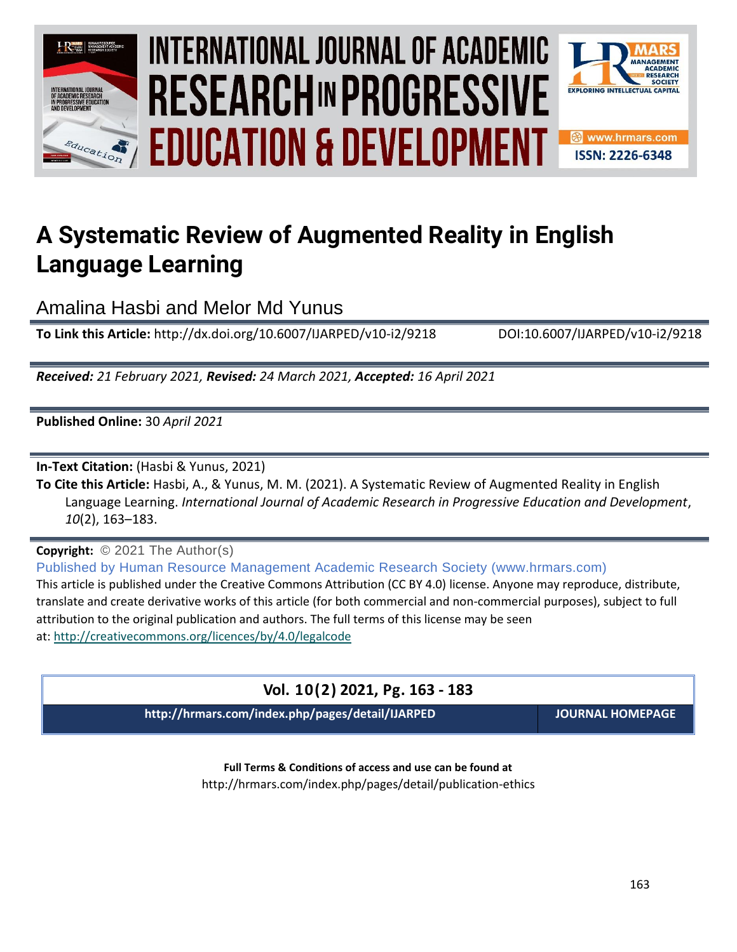

# INTERNATIONAL JOURNAL OF ACADEMIC **Vol. 1 0 , No. 2, 2021, E-ISSN: 2226-6348 © 2021 HRMARS EDUCATION & DEVELOPMENT**



# **A Systematic Review of Augmented Reality in English Language Learning**

Amalina Hasbi and Melor Md Yunus

**To Link this Article:** http://dx.doi.org/10.6007/IJARPED/v10-i2/9218 DOI:10.6007/IJARPED/v10-i2/9218

*Received: 21 February 2021, Revised: 24 March 2021, Accepted: 16 April 2021*

**Published Online:** 30 *April 2021*

**In-Text Citation:** (Hasbi & Yunus, 2021)

**To Cite this Article:** Hasbi, A., & Yunus, M. M. (2021). A Systematic Review of Augmented Reality in English Language Learning. *International Journal of Academic Research in Progressive Education and Development*, *10*(2), 163–183.

**Copyright:** © 2021 The Author(s)

Published by Human Resource Management Academic Research Society (www.hrmars.com) This article is published under the Creative Commons Attribution (CC BY 4.0) license. Anyone may reproduce, distribute, translate and create derivative works of this article (for both commercial and non-commercial purposes), subject to full attribution to the original publication and authors. The full terms of this license may be seen at: <http://creativecommons.org/licences/by/4.0/legalcode>

# **Vol. 10(2) 2021, Pg. 163 - 183**

**http://hrmars.com/index.php/pages/detail/IJARPED JOURNAL HOMEPAGE**

**Full Terms & Conditions of access and use can be found at** http://hrmars.com/index.php/pages/detail/publication-ethics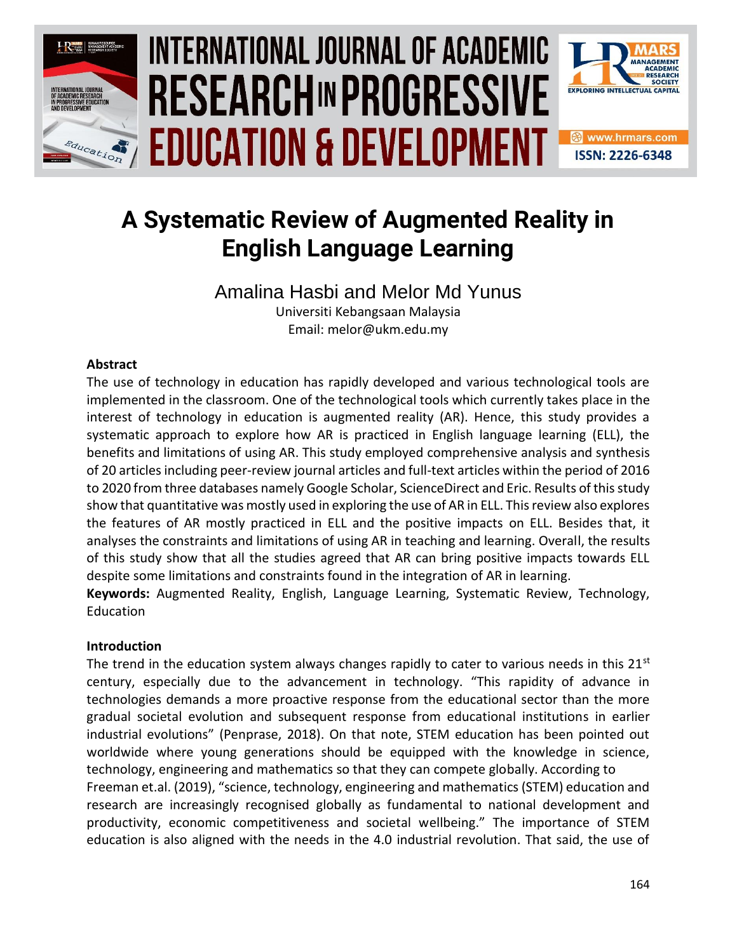

# INTERNATIONAL JOURNAL OF ACADEMIC **Vol. 1 0 , No. 2, 2021, E-ISSN: 2226-6348 © 2021 HRMARS EDUCATION & DEVELOPMENT**



# **A Systematic Review of Augmented Reality in English Language Learning**

Amalina Hasbi and Melor Md Yunus Universiti Kebangsaan Malaysia

Email: melor@ukm.edu.my

# **Abstract**

The use of technology in education has rapidly developed and various technological tools are implemented in the classroom. One of the technological tools which currently takes place in the interest of technology in education is augmented reality (AR). Hence, this study provides a systematic approach to explore how AR is practiced in English language learning (ELL), the benefits and limitations of using AR. This study employed comprehensive analysis and synthesis of 20 articles including peer-review journal articles and full-text articles within the period of 2016 to 2020 from three databases namely Google Scholar, ScienceDirect and Eric. Results of this study show that quantitative was mostly used in exploring the use of AR in ELL. This review also explores the features of AR mostly practiced in ELL and the positive impacts on ELL. Besides that, it analyses the constraints and limitations of using AR in teaching and learning. Overall, the results of this study show that all the studies agreed that AR can bring positive impacts towards ELL despite some limitations and constraints found in the integration of AR in learning.

**Keywords:** Augmented Reality, English, Language Learning, Systematic Review, Technology, Education

# **Introduction**

The trend in the education system always changes rapidly to cater to various needs in this  $21<sup>st</sup>$ century, especially due to the advancement in technology. "This rapidity of advance in technologies demands a more proactive response from the educational sector than the more gradual societal evolution and subsequent response from educational institutions in earlier industrial evolutions" (Penprase, 2018). On that note, STEM education has been pointed out worldwide where young generations should be equipped with the knowledge in science, technology, engineering and mathematics so that they can compete globally. According to Freeman et.al. (2019), "science, technology, engineering and mathematics (STEM) education and research are increasingly recognised globally as fundamental to national development and productivity, economic competitiveness and societal wellbeing." The importance of STEM

education is also aligned with the needs in the 4.0 industrial revolution. That said, the use of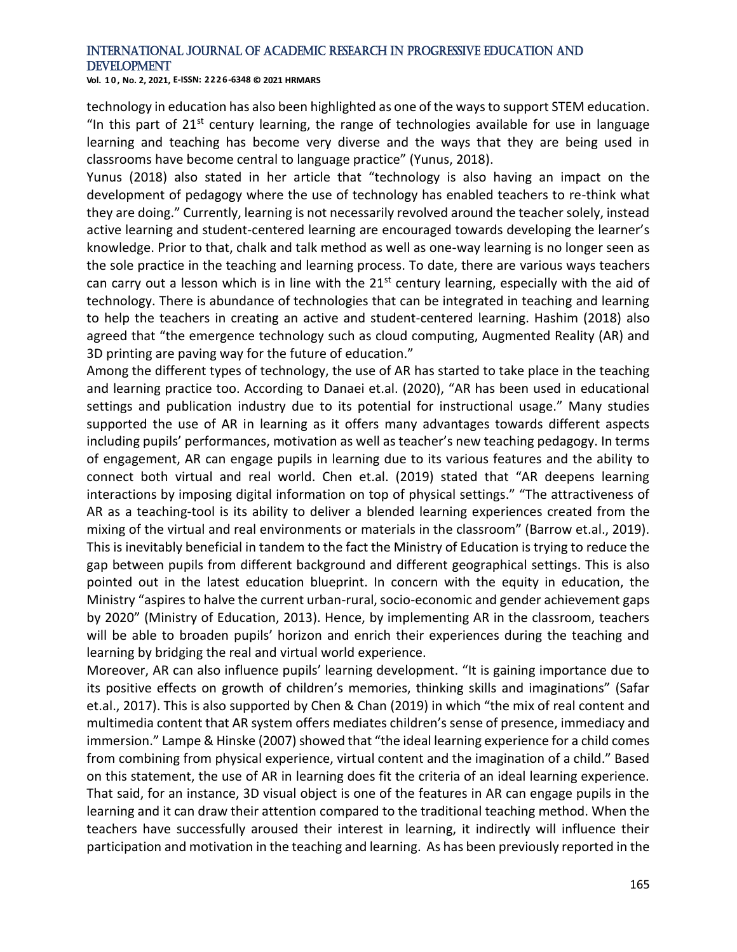**Vol. 1 0 , No. 2, 2021, E-ISSN: 2226-6348 © 2021 HRMARS**

technology in education has also been highlighted as one of the ways to support STEM education. "In this part of  $21^{st}$  century learning, the range of technologies available for use in language learning and teaching has become very diverse and the ways that they are being used in classrooms have become central to language practice" (Yunus, 2018).

Yunus (2018) also stated in her article that "technology is also having an impact on the development of pedagogy where the use of technology has enabled teachers to re-think what they are doing." Currently, learning is not necessarily revolved around the teacher solely, instead active learning and student-centered learning are encouraged towards developing the learner's knowledge. Prior to that, chalk and talk method as well as one-way learning is no longer seen as the sole practice in the teaching and learning process. To date, there are various ways teachers can carry out a lesson which is in line with the  $21<sup>st</sup>$  century learning, especially with the aid of technology. There is abundance of technologies that can be integrated in teaching and learning to help the teachers in creating an active and student-centered learning. Hashim (2018) also agreed that "the emergence technology such as cloud computing, Augmented Reality (AR) and 3D printing are paving way for the future of education."

Among the different types of technology, the use of AR has started to take place in the teaching and learning practice too. According to Danaei et.al. (2020), "AR has been used in educational settings and publication industry due to its potential for instructional usage." Many studies supported the use of AR in learning as it offers many advantages towards different aspects including pupils' performances, motivation as well as teacher's new teaching pedagogy. In terms of engagement, AR can engage pupils in learning due to its various features and the ability to connect both virtual and real world. Chen et.al. (2019) stated that "AR deepens learning interactions by imposing digital information on top of physical settings." "The attractiveness of AR as a teaching-tool is its ability to deliver a blended learning experiences created from the mixing of the virtual and real environments or materials in the classroom" (Barrow et.al., 2019). This is inevitably beneficial in tandem to the fact the Ministry of Education is trying to reduce the gap between pupils from different background and different geographical settings. This is also pointed out in the latest education blueprint. In concern with the equity in education, the Ministry "aspires to halve the current urban-rural, socio-economic and gender achievement gaps by 2020" (Ministry of Education, 2013). Hence, by implementing AR in the classroom, teachers will be able to broaden pupils' horizon and enrich their experiences during the teaching and learning by bridging the real and virtual world experience.

Moreover, AR can also influence pupils' learning development. "It is gaining importance due to its positive effects on growth of children's memories, thinking skills and imaginations" (Safar et.al., 2017). This is also supported by Chen & Chan (2019) in which "the mix of real content and multimedia content that AR system offers mediates children's sense of presence, immediacy and immersion." Lampe & Hinske (2007) showed that "the ideal learning experience for a child comes from combining from physical experience, virtual content and the imagination of a child." Based on this statement, the use of AR in learning does fit the criteria of an ideal learning experience. That said, for an instance, 3D visual object is one of the features in AR can engage pupils in the learning and it can draw their attention compared to the traditional teaching method. When the teachers have successfully aroused their interest in learning, it indirectly will influence their participation and motivation in the teaching and learning. As has been previously reported in the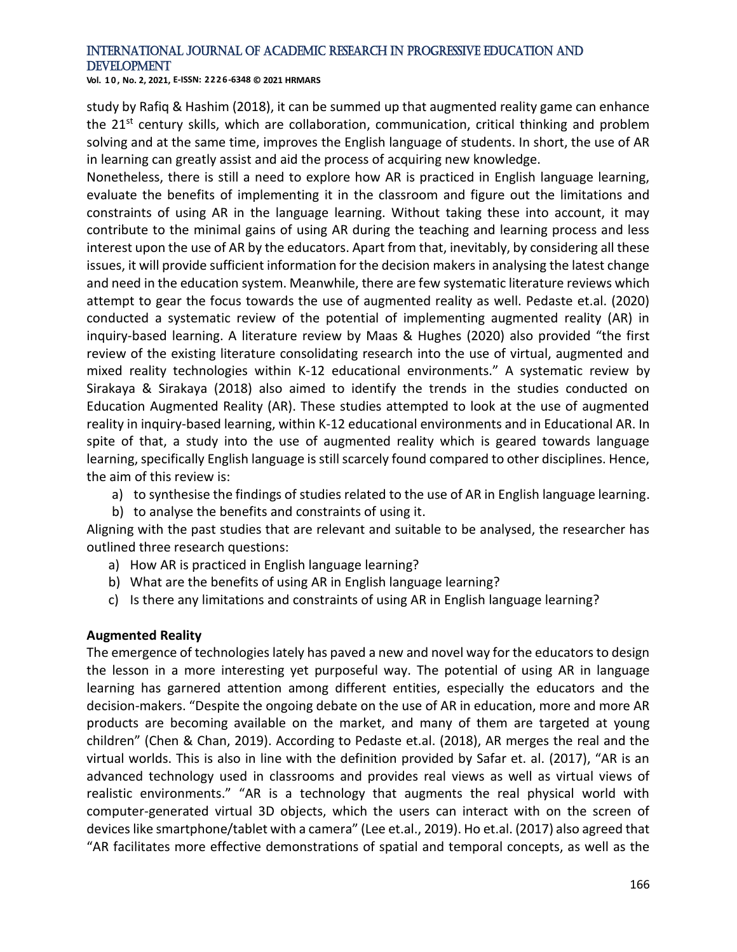**Vol. 1 0 , No. 2, 2021, E-ISSN: 2226-6348 © 2021 HRMARS**

study by Rafiq & Hashim (2018), it can be summed up that augmented reality game can enhance the 21<sup>st</sup> century skills, which are collaboration, communication, critical thinking and problem solving and at the same time, improves the English language of students. In short, the use of AR in learning can greatly assist and aid the process of acquiring new knowledge.

Nonetheless, there is still a need to explore how AR is practiced in English language learning, evaluate the benefits of implementing it in the classroom and figure out the limitations and constraints of using AR in the language learning. Without taking these into account, it may contribute to the minimal gains of using AR during the teaching and learning process and less interest upon the use of AR by the educators. Apart from that, inevitably, by considering all these issues, it will provide sufficient information for the decision makers in analysing the latest change and need in the education system. Meanwhile, there are few systematic literature reviews which attempt to gear the focus towards the use of augmented reality as well. Pedaste et.al. (2020) conducted a systematic review of the potential of implementing augmented reality (AR) in inquiry-based learning. A literature review by Maas & Hughes (2020) also provided "the first review of the existing literature consolidating research into the use of virtual, augmented and mixed reality technologies within K-12 educational environments." A systematic review by Sirakaya & Sirakaya (2018) also aimed to identify the trends in the studies conducted on Education Augmented Reality (AR). These studies attempted to look at the use of augmented reality in inquiry-based learning, within K-12 educational environments and in Educational AR. In spite of that, a study into the use of augmented reality which is geared towards language learning, specifically English language is still scarcely found compared to other disciplines. Hence, the aim of this review is:

- a) to synthesise the findings of studies related to the use of AR in English language learning.
- b) to analyse the benefits and constraints of using it.

Aligning with the past studies that are relevant and suitable to be analysed, the researcher has outlined three research questions:

- a) How AR is practiced in English language learning?
- b) What are the benefits of using AR in English language learning?
- c) Is there any limitations and constraints of using AR in English language learning?

#### **Augmented Reality**

The emergence of technologies lately has paved a new and novel way for the educators to design the lesson in a more interesting yet purposeful way. The potential of using AR in language learning has garnered attention among different entities, especially the educators and the decision-makers. "Despite the ongoing debate on the use of AR in education, more and more AR products are becoming available on the market, and many of them are targeted at young children" (Chen & Chan, 2019). According to Pedaste et.al. (2018), AR merges the real and the virtual worlds. This is also in line with the definition provided by Safar et. al. (2017), "AR is an advanced technology used in classrooms and provides real views as well as virtual views of realistic environments." "AR is a technology that augments the real physical world with computer-generated virtual 3D objects, which the users can interact with on the screen of devices like smartphone/tablet with a camera" (Lee et.al., 2019). Ho et.al. (2017) also agreed that "AR facilitates more effective demonstrations of spatial and temporal concepts, as well as the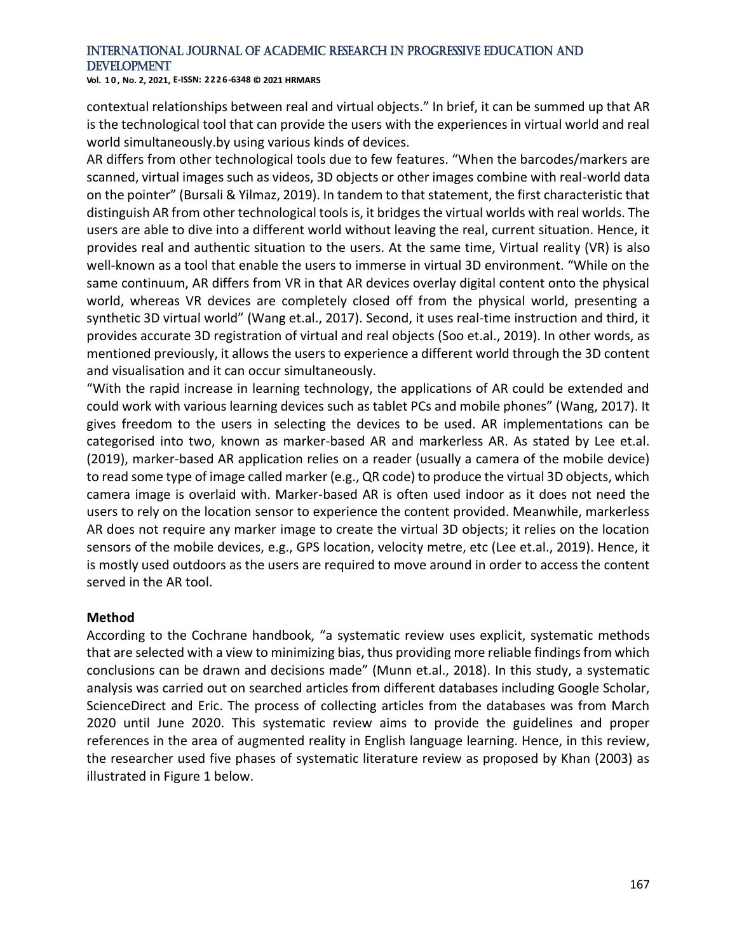**Vol. 1 0 , No. 2, 2021, E-ISSN: 2226-6348 © 2021 HRMARS**

contextual relationships between real and virtual objects." In brief, it can be summed up that AR is the technological tool that can provide the users with the experiences in virtual world and real world simultaneously.by using various kinds of devices.

AR differs from other technological tools due to few features. "When the barcodes/markers are scanned, virtual images such as videos, 3D objects or other images combine with real-world data on the pointer" (Bursali & Yilmaz, 2019). In tandem to that statement, the first characteristic that distinguish AR from other technological tools is, it bridges the virtual worlds with real worlds. The users are able to dive into a different world without leaving the real, current situation. Hence, it provides real and authentic situation to the users. At the same time, Virtual reality (VR) is also well-known as a tool that enable the users to immerse in virtual 3D environment. "While on the same continuum, AR differs from VR in that AR devices overlay digital content onto the physical world, whereas VR devices are completely closed off from the physical world, presenting a synthetic 3D virtual world" (Wang et.al., 2017). Second, it uses real-time instruction and third, it provides accurate 3D registration of virtual and real objects (Soo et.al., 2019). In other words, as mentioned previously, it allows the users to experience a different world through the 3D content and visualisation and it can occur simultaneously.

"With the rapid increase in learning technology, the applications of AR could be extended and could work with various learning devices such as tablet PCs and mobile phones" (Wang, 2017). It gives freedom to the users in selecting the devices to be used. AR implementations can be categorised into two, known as marker-based AR and markerless AR. As stated by Lee et.al. (2019), marker-based AR application relies on a reader (usually a camera of the mobile device) to read some type of image called marker (e.g., QR code) to produce the virtual 3D objects, which camera image is overlaid with. Marker-based AR is often used indoor as it does not need the users to rely on the location sensor to experience the content provided. Meanwhile, markerless AR does not require any marker image to create the virtual 3D objects; it relies on the location sensors of the mobile devices, e.g., GPS location, velocity metre, etc (Lee et.al., 2019). Hence, it is mostly used outdoors as the users are required to move around in order to access the content served in the AR tool.

#### **Method**

According to the Cochrane handbook, "a systematic review uses explicit, systematic methods that are selected with a view to minimizing bias, thus providing more reliable findings from which conclusions can be drawn and decisions made" (Munn et.al., 2018). In this study, a systematic analysis was carried out on searched articles from different databases including Google Scholar, ScienceDirect and Eric. The process of collecting articles from the databases was from March 2020 until June 2020. This systematic review aims to provide the guidelines and proper references in the area of augmented reality in English language learning. Hence, in this review, the researcher used five phases of systematic literature review as proposed by Khan (2003) as illustrated in Figure 1 below.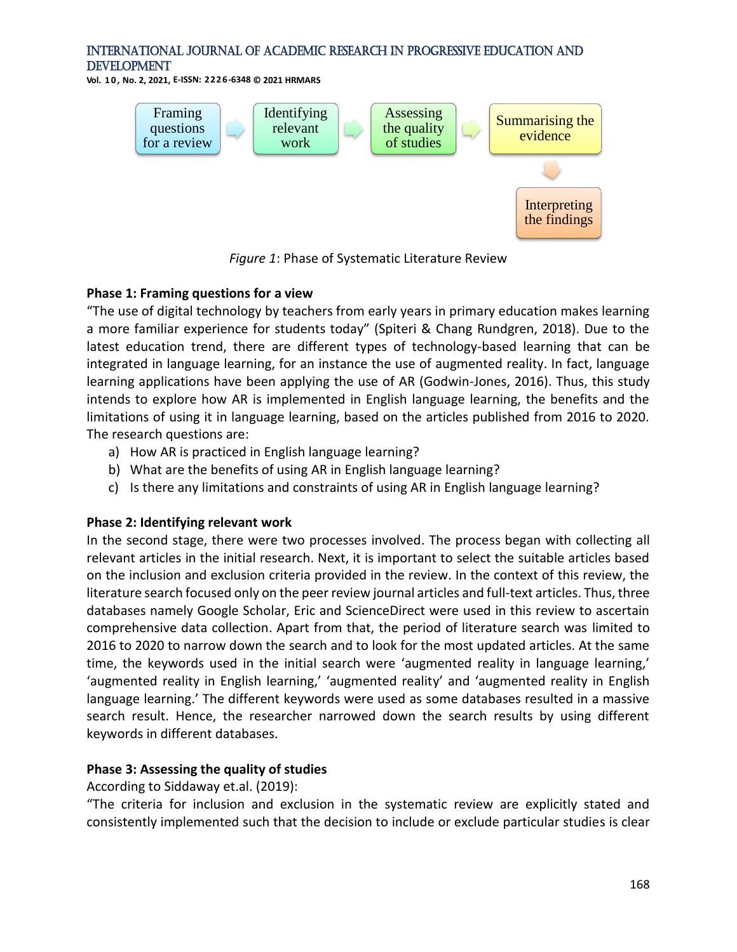**Vol. 1 0 , No. 2, 2021, E-ISSN: 2226-6348 © 2021 HRMARS**



*Figure 1*: Phase of Systematic Literature Review

#### **Phase 1: Framing questions for a view**

"The use of digital technology by teachers from early years in primary education makes learning a more familiar experience for students today" (Spiteri & Chang Rundgren, 2018). Due to the latest education trend, there are different types of technology-based learning that can be integrated in language learning, for an instance the use of augmented reality. In fact, language learning applications have been applying the use of AR (Godwin-Jones, 2016). Thus, this study intends to explore how AR is implemented in English language learning, the benefits and the limitations of using it in language learning, based on the articles published from 2016 to 2020. The research questions are:

- a) How AR is practiced in English language learning?
- b) What are the benefits of using AR in English language learning?
- c) Is there any limitations and constraints of using AR in English language learning?

#### **Phase 2: Identifying relevant work**

In the second stage, there were two processes involved. The process began with collecting all relevant articles in the initial research. Next, it is important to select the suitable articles based on the inclusion and exclusion criteria provided in the review. In the context of this review, the literature search focused only on the peer review journal articles and full-text articles. Thus, three databases namely Google Scholar, Eric and ScienceDirect were used in this review to ascertain comprehensive data collection. Apart from that, the period of literature search was limited to 2016 to 2020 to narrow down the search and to look for the most updated articles. At the same time, the keywords used in the initial search were 'augmented reality in language learning,' 'augmented reality in English learning,' 'augmented reality' and 'augmented reality in English language learning.' The different keywords were used as some databases resulted in a massive search result. Hence, the researcher narrowed down the search results by using different keywords in different databases.

#### **Phase 3: Assessing the quality of studies**

According to Siddaway et.al. (2019):

"The criteria for inclusion and exclusion in the systematic review are explicitly stated and consistently implemented such that the decision to include or exclude particular studies is clear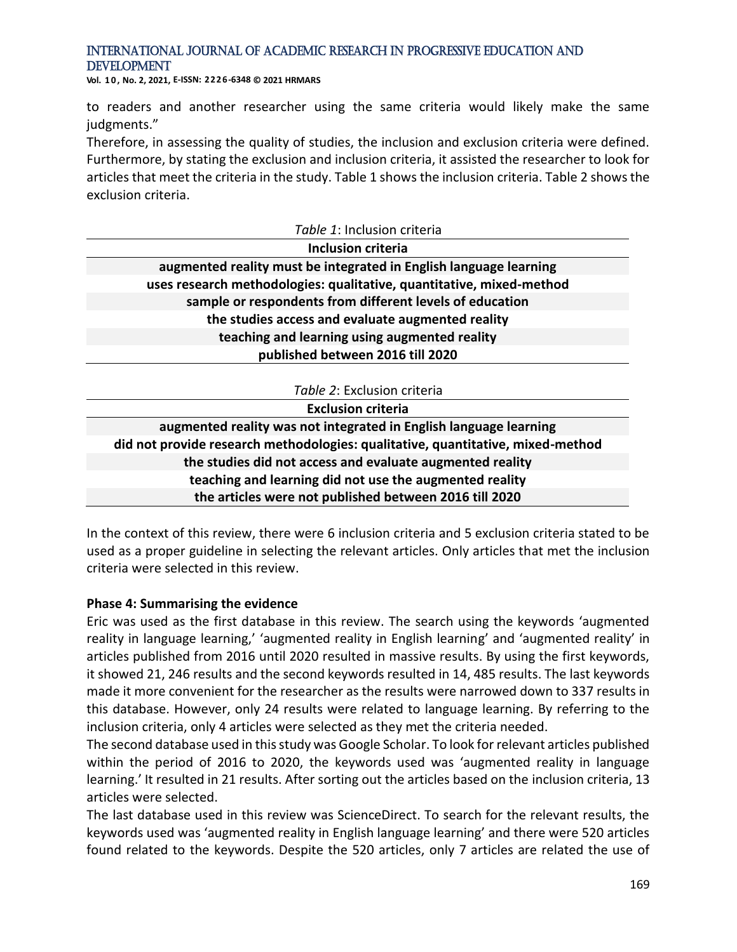**Vol. 1 0 , No. 2, 2021, E-ISSN: 2226-6348 © 2021 HRMARS**

to readers and another researcher using the same criteria would likely make the same judgments."

Therefore, in assessing the quality of studies, the inclusion and exclusion criteria were defined. Furthermore, by stating the exclusion and inclusion criteria, it assisted the researcher to look for articles that meet the criteria in the study. Table 1 shows the inclusion criteria. Table 2 shows the exclusion criteria.

| Table 1: Inclusion criteria                                                     |
|---------------------------------------------------------------------------------|
| Inclusion criteria                                                              |
| augmented reality must be integrated in English language learning               |
| uses research methodologies: qualitative, quantitative, mixed-method            |
| sample or respondents from different levels of education                        |
| the studies access and evaluate augmented reality                               |
| teaching and learning using augmented reality                                   |
| published between 2016 till 2020                                                |
|                                                                                 |
| Table 2: Exclusion criteria                                                     |
| <b>Exclusion criteria</b>                                                       |
| augmented reality was not integrated in English language learning               |
| did not provide research methodologies: qualitative, quantitative, mixed-method |
| the studies did not access and evaluate augmented reality                       |
| teaching and learning did not use the augmented reality                         |
| the articles were not published between 2016 till 2020                          |

In the context of this review, there were 6 inclusion criteria and 5 exclusion criteria stated to be used as a proper guideline in selecting the relevant articles. Only articles that met the inclusion criteria were selected in this review.

#### **Phase 4: Summarising the evidence**

Eric was used as the first database in this review. The search using the keywords 'augmented reality in language learning,' 'augmented reality in English learning' and 'augmented reality' in articles published from 2016 until 2020 resulted in massive results. By using the first keywords, it showed 21, 246 results and the second keywords resulted in 14, 485 results. The last keywords made it more convenient for the researcher as the results were narrowed down to 337 results in this database. However, only 24 results were related to language learning. By referring to the inclusion criteria, only 4 articles were selected as they met the criteria needed.

The second database used in this study was Google Scholar. To look for relevant articles published within the period of 2016 to 2020, the keywords used was 'augmented reality in language learning.' It resulted in 21 results. After sorting out the articles based on the inclusion criteria, 13 articles were selected.

The last database used in this review was ScienceDirect. To search for the relevant results, the keywords used was 'augmented reality in English language learning' and there were 520 articles found related to the keywords. Despite the 520 articles, only 7 articles are related the use of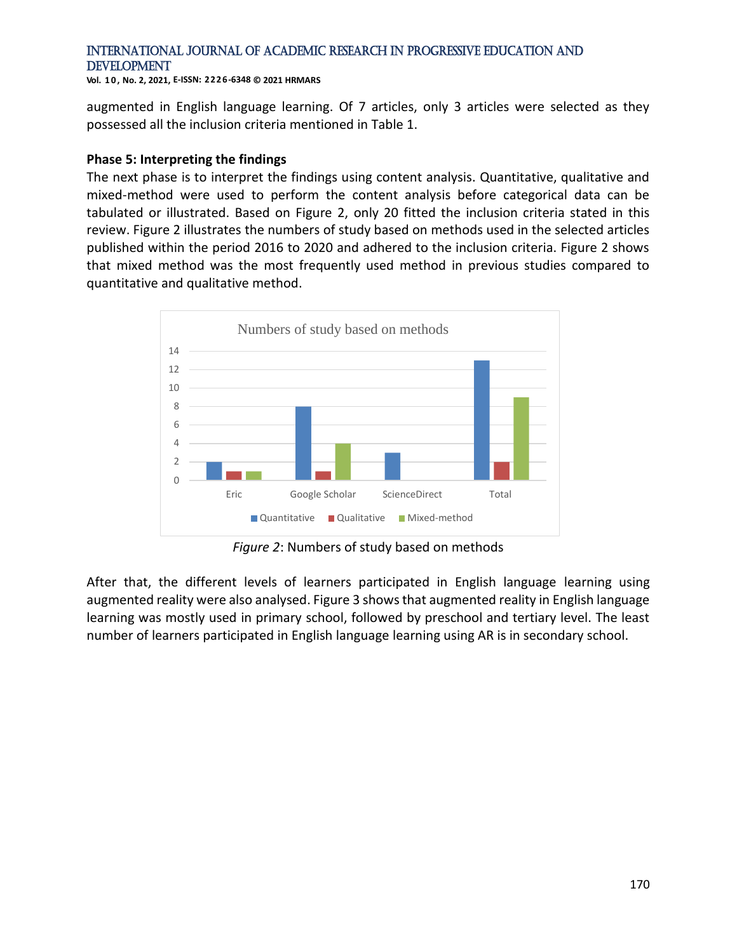**Vol. 1 0 , No. 2, 2021, E-ISSN: 2226-6348 © 2021 HRMARS**

augmented in English language learning. Of 7 articles, only 3 articles were selected as they possessed all the inclusion criteria mentioned in Table 1.

#### **Phase 5: Interpreting the findings**

The next phase is to interpret the findings using content analysis. Quantitative, qualitative and mixed-method were used to perform the content analysis before categorical data can be tabulated or illustrated. Based on Figure 2, only 20 fitted the inclusion criteria stated in this review. Figure 2 illustrates the numbers of study based on methods used in the selected articles published within the period 2016 to 2020 and adhered to the inclusion criteria. Figure 2 shows that mixed method was the most frequently used method in previous studies compared to quantitative and qualitative method.



*Figure 2*: Numbers of study based on methods

After that, the different levels of learners participated in English language learning using augmented reality were also analysed. Figure 3 shows that augmented reality in English language learning was mostly used in primary school, followed by preschool and tertiary level. The least number of learners participated in English language learning using AR is in secondary school.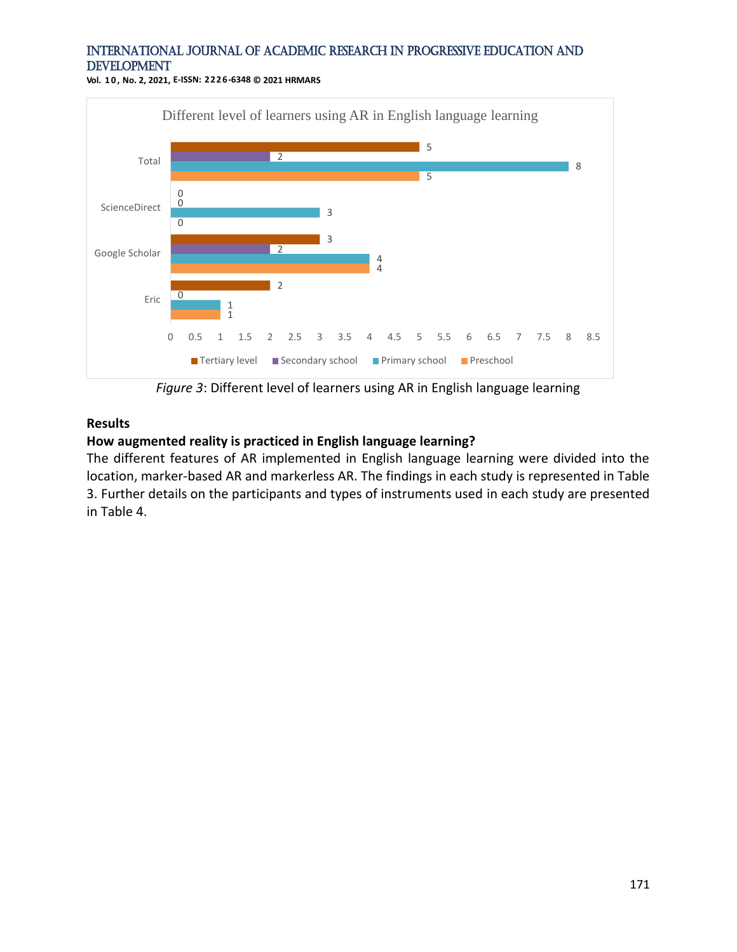**Vol. 1 0 , No. 2, 2021, E-ISSN: 2226-6348 © 2021 HRMARS**



*Figure 3*: Different level of learners using AR in English language learning

#### **Results**

#### **How augmented reality is practiced in English language learning?**

The different features of AR implemented in English language learning were divided into the location, marker-based AR and markerless AR. The findings in each study is represented in Table 3. Further details on the participants and types of instruments used in each study are presented in Table 4.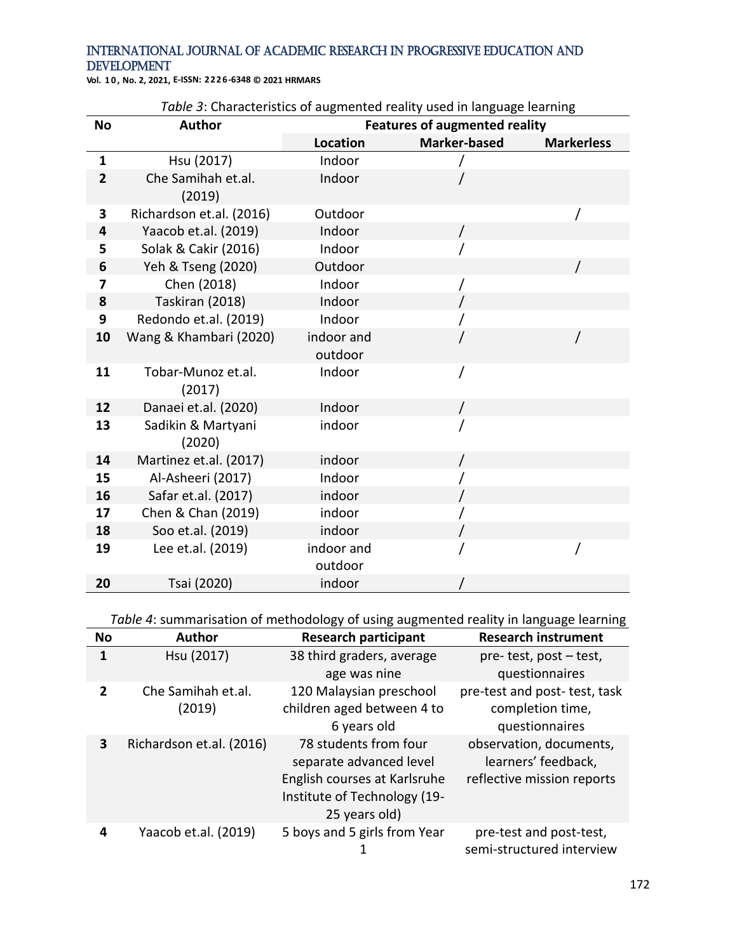**Vol. 1 0 , No. 2, 2021, E-ISSN: 2226-6348 © 2021 HRMARS**

| <b>No</b>               | <b>Author</b>                | rabic 5. Characteristics or augmented reality ased in language icariling<br><b>Features of augmented reality</b> |                     |                   |
|-------------------------|------------------------------|------------------------------------------------------------------------------------------------------------------|---------------------|-------------------|
|                         |                              | <b>Location</b>                                                                                                  | <b>Marker-based</b> | <b>Markerless</b> |
| $\mathbf{1}$            | Hsu (2017)                   | Indoor                                                                                                           |                     |                   |
| $\overline{2}$          | Che Samihah et.al.<br>(2019) | Indoor                                                                                                           |                     |                   |
| 3                       | Richardson et.al. (2016)     | Outdoor                                                                                                          |                     |                   |
| 4                       | Yaacob et.al. (2019)         | Indoor                                                                                                           |                     |                   |
| 5                       | Solak & Cakir (2016)         | Indoor                                                                                                           |                     |                   |
| 6                       | Yeh & Tseng (2020)           | Outdoor                                                                                                          |                     |                   |
| $\overline{\mathbf{z}}$ | Chen (2018)                  | Indoor                                                                                                           |                     |                   |
| 8                       | Taskiran (2018)              | Indoor                                                                                                           |                     |                   |
| 9                       | Redondo et.al. (2019)        | Indoor                                                                                                           |                     |                   |
| 10                      | Wang & Khambari (2020)       | indoor and<br>outdoor                                                                                            |                     |                   |
| 11                      | Tobar-Munoz et.al.<br>(2017) | Indoor                                                                                                           |                     |                   |
| 12                      | Danaei et.al. (2020)         | Indoor                                                                                                           |                     |                   |
| 13                      | Sadikin & Martyani<br>(2020) | indoor                                                                                                           |                     |                   |
| 14                      | Martinez et.al. (2017)       | indoor                                                                                                           |                     |                   |
| 15                      | Al-Asheeri (2017)            | Indoor                                                                                                           |                     |                   |
| 16                      | Safar et.al. (2017)          | indoor                                                                                                           |                     |                   |
| 17                      | Chen & Chan (2019)           | indoor                                                                                                           |                     |                   |
| 18                      | Soo et.al. (2019)            | indoor                                                                                                           |                     |                   |
| 19                      | Lee et.al. (2019)            | indoor and                                                                                                       |                     |                   |
|                         |                              | outdoor                                                                                                          |                     |                   |
| 20                      | Tsai (2020)                  | indoor                                                                                                           |                     |                   |

*Table 3*: Characteristics of augmented reality used in language learning

*Table 4*: summarisation of methodology of using augmented reality in language learning

| <b>No</b>      | <b>Author</b>                | <b>Research participant</b>                                                                                                       | <b>Research instrument</b>                                                   |
|----------------|------------------------------|-----------------------------------------------------------------------------------------------------------------------------------|------------------------------------------------------------------------------|
| 1              | Hsu (2017)                   | 38 third graders, average                                                                                                         | pre-test, post-test,                                                         |
|                |                              | age was nine                                                                                                                      | questionnaires                                                               |
| $\overline{2}$ | Che Samihah et.al.<br>(2019) | 120 Malaysian preschool<br>children aged between 4 to<br>6 years old                                                              | pre-test and post- test, task<br>completion time,<br>questionnaires          |
| 3              | Richardson et.al. (2016)     | 78 students from four<br>separate advanced level<br>English courses at Karlsruhe<br>Institute of Technology (19-<br>25 years old) | observation, documents,<br>learners' feedback,<br>reflective mission reports |
| 4              | Yaacob et.al. (2019)         | 5 boys and 5 girls from Year                                                                                                      | pre-test and post-test,<br>semi-structured interview                         |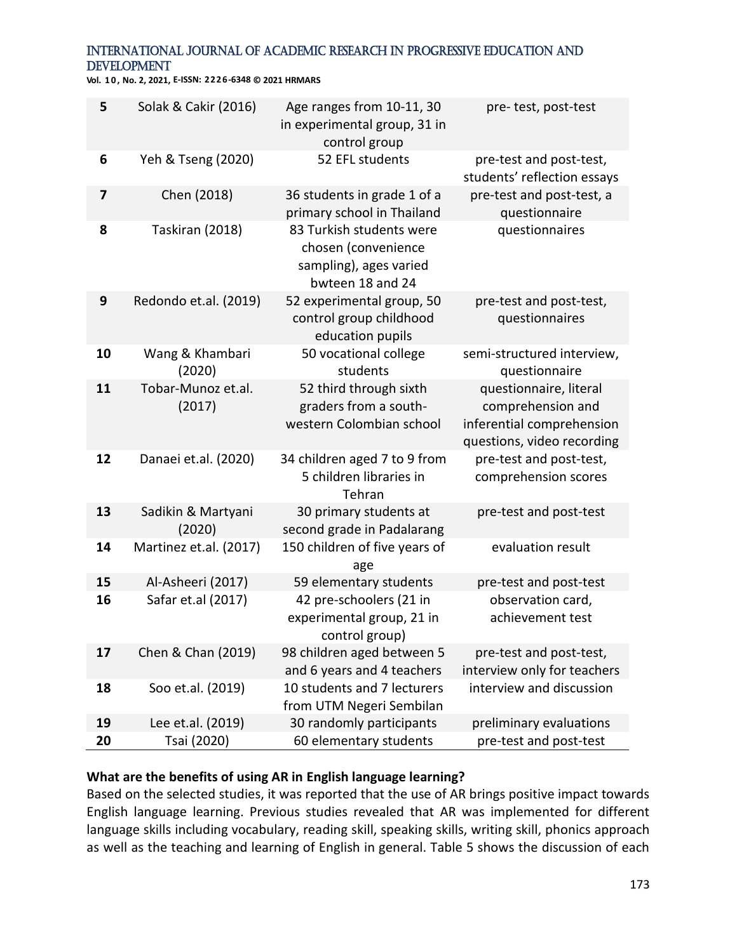**Vol. 1 0 , No. 2, 2021, E-ISSN: 2226-6348 © 2021 HRMARS**

| 5  | Solak & Cakir (2016)         | Age ranges from 10-11, 30<br>in experimental group, 31 in<br>control group                    | pre-test, post-test                                                                                    |
|----|------------------------------|-----------------------------------------------------------------------------------------------|--------------------------------------------------------------------------------------------------------|
| 6  | Yeh & Tseng (2020)           | 52 EFL students                                                                               | pre-test and post-test,<br>students' reflection essays                                                 |
| 7  | Chen (2018)                  | 36 students in grade 1 of a<br>primary school in Thailand                                     | pre-test and post-test, a<br>questionnaire                                                             |
| 8  | Taskiran (2018)              | 83 Turkish students were<br>chosen (convenience<br>sampling), ages varied<br>bwteen 18 and 24 | questionnaires                                                                                         |
| 9  | Redondo et.al. (2019)        | 52 experimental group, 50<br>control group childhood<br>education pupils                      | pre-test and post-test,<br>questionnaires                                                              |
| 10 | Wang & Khambari<br>(2020)    | 50 vocational college<br>students                                                             | semi-structured interview,<br>questionnaire                                                            |
| 11 | Tobar-Munoz et.al.<br>(2017) | 52 third through sixth<br>graders from a south-<br>western Colombian school                   | questionnaire, literal<br>comprehension and<br>inferential comprehension<br>questions, video recording |
| 12 | Danaei et.al. (2020)         | 34 children aged 7 to 9 from<br>5 children libraries in<br>Tehran                             | pre-test and post-test,<br>comprehension scores                                                        |
| 13 | Sadikin & Martyani<br>(2020) | 30 primary students at<br>second grade in Padalarang                                          | pre-test and post-test                                                                                 |
| 14 | Martinez et.al. (2017)       | 150 children of five years of<br>age                                                          | evaluation result                                                                                      |
| 15 | Al-Asheeri (2017)            | 59 elementary students                                                                        | pre-test and post-test                                                                                 |
| 16 | Safar et.al (2017)           | 42 pre-schoolers (21 in<br>experimental group, 21 in<br>control group)                        | observation card,<br>achievement test                                                                  |
| 17 | Chen & Chan (2019)           | 98 children aged between 5<br>and 6 years and 4 teachers                                      | pre-test and post-test,<br>interview only for teachers                                                 |
| 18 | Soo et.al. (2019)            | 10 students and 7 lecturers<br>from UTM Negeri Sembilan                                       | interview and discussion                                                                               |
| 19 | Lee et.al. (2019)            | 30 randomly participants                                                                      | preliminary evaluations                                                                                |
| 20 | Tsai (2020)                  | 60 elementary students                                                                        | pre-test and post-test                                                                                 |

# **What are the benefits of using AR in English language learning?**

Based on the selected studies, it was reported that the use of AR brings positive impact towards English language learning. Previous studies revealed that AR was implemented for different language skills including vocabulary, reading skill, speaking skills, writing skill, phonics approach as well as the teaching and learning of English in general. Table 5 shows the discussion of each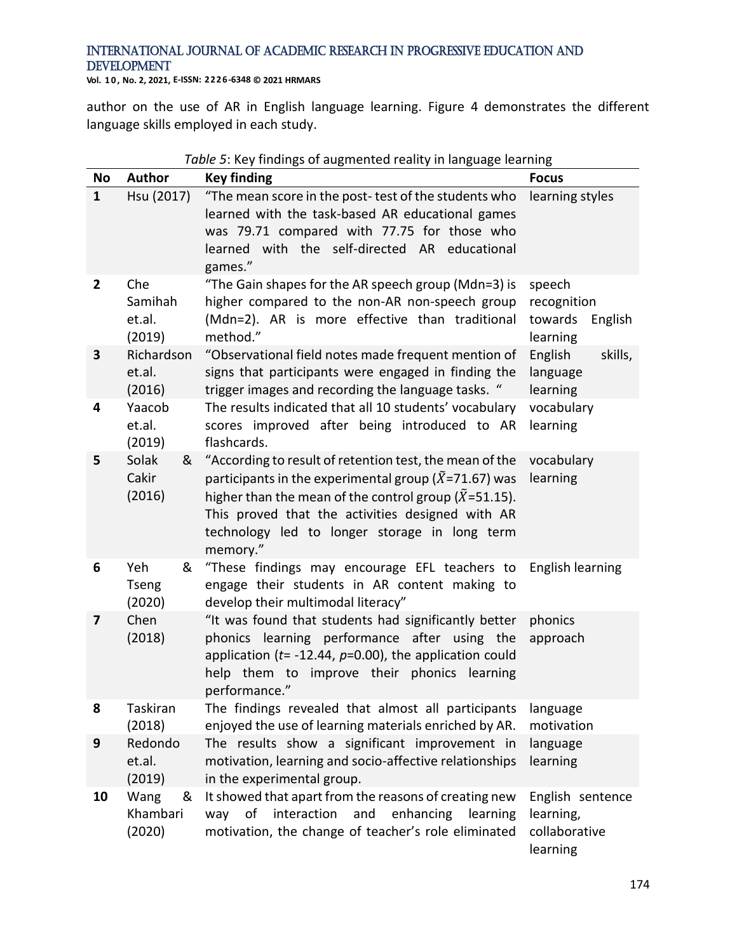**Vol. 1 0 , No. 2, 2021, E-ISSN: 2226-6348 © 2021 HRMARS**

author on the use of AR in English language learning. Figure 4 demonstrates the different language skills employed in each study.

|                | Table 5: Key findings of augmented reality in language learning |                                                                                                                                                                                                                                                                                                                      |                                                            |  |
|----------------|-----------------------------------------------------------------|----------------------------------------------------------------------------------------------------------------------------------------------------------------------------------------------------------------------------------------------------------------------------------------------------------------------|------------------------------------------------------------|--|
| <b>No</b>      | <b>Author</b>                                                   | <b>Key finding</b>                                                                                                                                                                                                                                                                                                   | <b>Focus</b>                                               |  |
| $\mathbf{1}$   | Hsu (2017)                                                      | "The mean score in the post-test of the students who<br>learned with the task-based AR educational games<br>was 79.71 compared with 77.75 for those who<br>learned with the self-directed AR educational<br>games."                                                                                                  | learning styles                                            |  |
| $\overline{2}$ | Che<br>Samihah<br>et.al.<br>(2019)                              | "The Gain shapes for the AR speech group (Mdn=3) is<br>higher compared to the non-AR non-speech group<br>(Mdn=2). AR is more effective than traditional<br>method."                                                                                                                                                  | speech<br>recognition<br>towards<br>English<br>learning    |  |
| 3              | Richardson<br>et.al.<br>(2016)                                  | "Observational field notes made frequent mention of<br>signs that participants were engaged in finding the<br>trigger images and recording the language tasks. "                                                                                                                                                     | English<br>skills,<br>language<br>learning                 |  |
| 4              | Yaacob<br>et.al.<br>(2019)                                      | The results indicated that all 10 students' vocabulary<br>scores improved after being introduced to AR<br>flashcards.                                                                                                                                                                                                | vocabulary<br>learning                                     |  |
| 5              | Solak<br>&<br>Cakir<br>(2016)                                   | "According to result of retention test, the mean of the<br>participants in the experimental group ( $\tilde{X}$ =71.67) was<br>higher than the mean of the control group ( $\widetilde{X}$ =51.15).<br>This proved that the activities designed with AR<br>technology led to longer storage in long term<br>memory." | vocabulary<br>learning                                     |  |
| 6              | Yeh<br>&<br><b>Tseng</b><br>(2020)                              | "These findings may encourage EFL teachers to<br>engage their students in AR content making to<br>develop their multimodal literacy"                                                                                                                                                                                 | English learning                                           |  |
| 7              | Chen<br>(2018)                                                  | "It was found that students had significantly better<br>phonics learning performance after using the<br>application ( $t$ = -12.44, $p$ =0.00), the application could<br>help them to improve their phonics learning<br>performance."                                                                                | phonics<br>approach                                        |  |
| 8              | Taskiran<br>(2018)                                              | The findings revealed that almost all participants<br>enjoyed the use of learning materials enriched by AR.                                                                                                                                                                                                          | language<br>motivation                                     |  |
| 9              | Redondo<br>et.al.<br>(2019)                                     | The results show a significant improvement in<br>motivation, learning and socio-affective relationships<br>in the experimental group.                                                                                                                                                                                | language<br>learning                                       |  |
| 10             | Wang<br>&<br>Khambari<br>(2020)                                 | It showed that apart from the reasons of creating new<br>interaction<br>and<br>of<br>enhancing<br>learning<br>way<br>motivation, the change of teacher's role eliminated                                                                                                                                             | English sentence<br>learning,<br>collaborative<br>learning |  |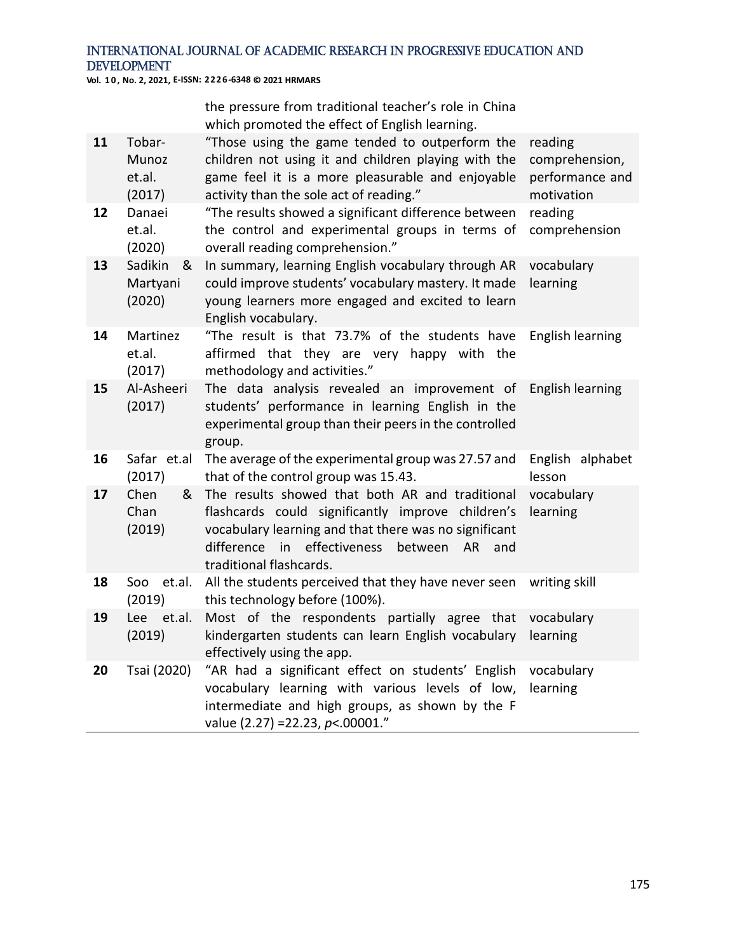**Vol. 1 0 , No. 2, 2021, E-ISSN: 2226-6348 © 2021 HRMARS**

the pressure from traditional teacher's role in China which promoted the effect of English learning.

| 11 | Tobar-<br>Munoz<br>et.al.<br>(2017) | "Those using the game tended to outperform the<br>children not using it and children playing with the<br>game feel it is a more pleasurable and enjoyable<br>activity than the sole act of reading."                                         | reading<br>comprehension,<br>performance and<br>motivation |
|----|-------------------------------------|----------------------------------------------------------------------------------------------------------------------------------------------------------------------------------------------------------------------------------------------|------------------------------------------------------------|
| 12 | Danaei<br>et.al.<br>(2020)          | "The results showed a significant difference between<br>the control and experimental groups in terms of<br>overall reading comprehension."                                                                                                   | reading<br>comprehension                                   |
| 13 | Sadikin<br>&<br>Martyani<br>(2020)  | In summary, learning English vocabulary through AR<br>could improve students' vocabulary mastery. It made<br>young learners more engaged and excited to learn<br>English vocabulary.                                                         | vocabulary<br>learning                                     |
| 14 | Martinez<br>et.al.<br>(2017)        | "The result is that 73.7% of the students have<br>affirmed that they are very happy with the<br>methodology and activities."                                                                                                                 | English learning                                           |
| 15 | Al-Asheeri<br>(2017)                | The data analysis revealed an improvement of English-learning<br>students' performance in learning English in the<br>experimental group than their peers in the controlled<br>group.                                                         |                                                            |
| 16 | Safar et.al<br>(2017)               | The average of the experimental group was 27.57 and<br>that of the control group was 15.43.                                                                                                                                                  | English alphabet<br>lesson                                 |
| 17 | Chen<br>&<br>Chan<br>(2019)         | The results showed that both AR and traditional<br>flashcards could significantly improve children's<br>vocabulary learning and that there was no significant<br>difference in effectiveness<br>between AR<br>and<br>traditional flashcards. | vocabulary<br>learning                                     |
| 18 | Soo<br>et.al.<br>(2019)             | All the students perceived that they have never seen<br>this technology before (100%).                                                                                                                                                       | writing skill                                              |
| 19 | Lee et.al.<br>(2019)                | Most of the respondents partially agree that<br>kindergarten students can learn English vocabulary<br>effectively using the app.                                                                                                             | vocabulary<br>learning                                     |
| 20 | Tsai (2020)                         | "AR had a significant effect on students' English<br>vocabulary learning with various levels of low,<br>intermediate and high groups, as shown by the F<br>value (2.27) = 22.23, p <. 00001."                                                | vocabulary<br>learning                                     |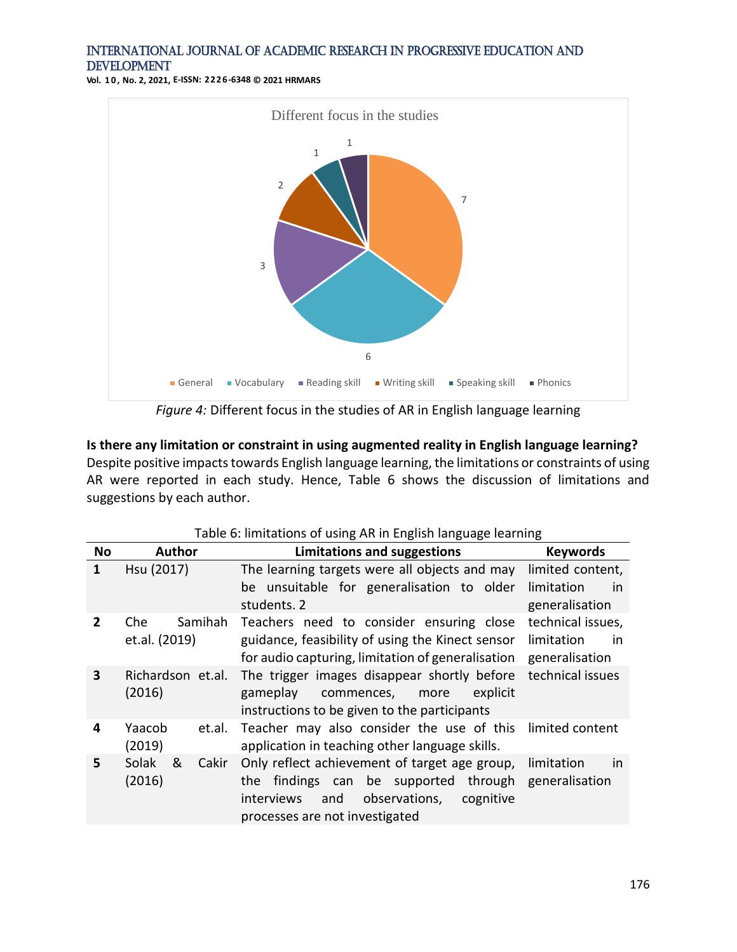**Vol. 1 0 , No. 2, 2021, E-ISSN: 2226-6348 © 2021 HRMARS**



**Is there any limitation or constraint in using augmented reality in English language learning?** Despite positive impacts towards English language learning, the limitations or constraints of using AR were reported in each study. Hence, Table 6 shows the discussion of limitations and suggestions by each author.

|                | Table of immedions of asing ARTIFLIIghsh language icarring |                                                                                                                                                                                   |                                                               |
|----------------|------------------------------------------------------------|-----------------------------------------------------------------------------------------------------------------------------------------------------------------------------------|---------------------------------------------------------------|
| <b>No</b>      | <b>Author</b>                                              | <b>Limitations and suggestions</b>                                                                                                                                                | <b>Keywords</b>                                               |
| 1              | Hsu (2017)                                                 | The learning targets were all objects and may<br>be unsuitable for generalisation to older<br>students. 2                                                                         | limited content,<br>limitation<br><i>in</i><br>generalisation |
| $\overline{2}$ | Samihah<br>Che<br>et.al. (2019)                            | Teachers need to consider ensuring close<br>guidance, feasibility of using the Kinect sensor<br>for audio capturing, limitation of generalisation                                 | technical issues,<br>limitation<br>in.<br>generalisation      |
| $\mathbf{3}$   | Richardson et.al.<br>(2016)                                | The trigger images disappear shortly before<br>gameplay<br>explicit<br>commences,<br>more<br>instructions to be given to the participants                                         | technical issues                                              |
| 4              | Yaacob<br>et.al.<br>(2019)                                 | Teacher may also consider the use of this<br>application in teaching other language skills.                                                                                       | limited content                                               |
| 5              | Solak<br>&<br>Cakir<br>(2016)                              | Only reflect achievement of target age group,<br>findings can be supported<br>through<br>the<br>observations,<br>interviews<br>and<br>cognitive<br>processes are not investigated | limitation<br>in<br>generalisation                            |

| Table 6: limitations of using AR in English language learning |  |  |
|---------------------------------------------------------------|--|--|
|                                                               |  |  |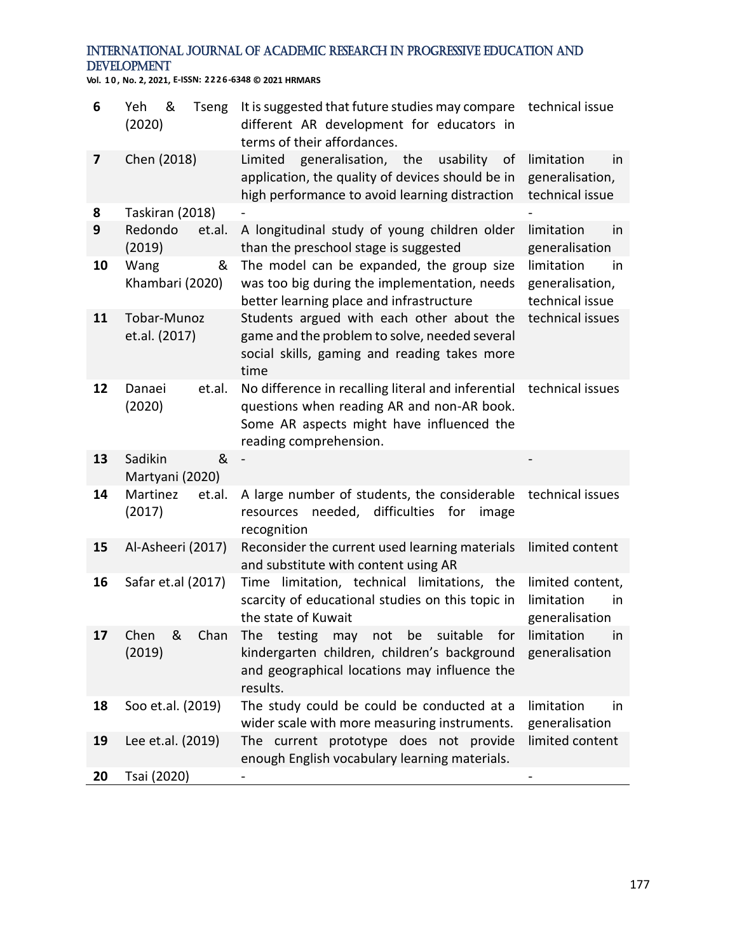**Vol. 1 0 , No. 2, 2021, E-ISSN: 2226-6348 © 2021 HRMARS**

| 6  | &<br>Yeh<br><b>Tseng</b><br>(2020) | It is suggested that future studies may compare<br>different AR development for educators in<br>terms of their affordances.                                             | technical issue                                        |
|----|------------------------------------|-------------------------------------------------------------------------------------------------------------------------------------------------------------------------|--------------------------------------------------------|
| 7  | Chen (2018)                        | Limited<br>generalisation, the<br>usability<br>of<br>application, the quality of devices should be in<br>high performance to avoid learning distraction                 | limitation<br>in<br>generalisation,<br>technical issue |
| 8  | Taskiran (2018)                    |                                                                                                                                                                         |                                                        |
| 9  | Redondo<br>et.al.<br>(2019)        | A longitudinal study of young children older<br>than the preschool stage is suggested                                                                                   | limitation<br>in<br>generalisation                     |
| 10 | Wang<br>&<br>Khambari (2020)       | The model can be expanded, the group size<br>was too big during the implementation, needs<br>better learning place and infrastructure                                   | limitation<br>in<br>generalisation,<br>technical issue |
| 11 | Tobar-Munoz<br>et.al. (2017)       | Students argued with each other about the<br>game and the problem to solve, needed several<br>social skills, gaming and reading takes more<br>time                      | technical issues                                       |
| 12 | Danaei<br>et.al.<br>(2020)         | No difference in recalling literal and inferential<br>questions when reading AR and non-AR book.<br>Some AR aspects might have influenced the<br>reading comprehension. | technical issues                                       |
| 13 | &<br>Sadikin<br>Martyani (2020)    |                                                                                                                                                                         |                                                        |
| 14 | Martinez<br>et.al.<br>(2017)       | A large number of students, the considerable<br>needed,<br>difficulties for<br>resources<br>image<br>recognition                                                        | technical issues                                       |
| 15 | Al-Asheeri (2017)                  | Reconsider the current used learning materials<br>and substitute with content using AR                                                                                  | limited content                                        |
| 16 | Safar et.al (2017)                 | Time limitation, technical limitations, the<br>scarcity of educational studies on this topic in<br>the state of Kuwait                                                  | limited content,<br>limitation<br>in<br>generalisation |
| 17 | Chen<br>&<br>Chan<br>(2019)        | The<br>testing<br>suitable<br>for<br>be<br>not<br>may<br>kindergarten children, children's background<br>and geographical locations may influence the<br>results.       | limitation<br>in<br>generalisation                     |
| 18 | Soo et.al. (2019)                  | The study could be could be conducted at a<br>wider scale with more measuring instruments.                                                                              | limitation<br>in<br>generalisation                     |
| 19 | Lee et.al. (2019)                  | The current prototype does not provide<br>enough English vocabulary learning materials.                                                                                 | limited content                                        |
| 20 | Tsai (2020)                        |                                                                                                                                                                         |                                                        |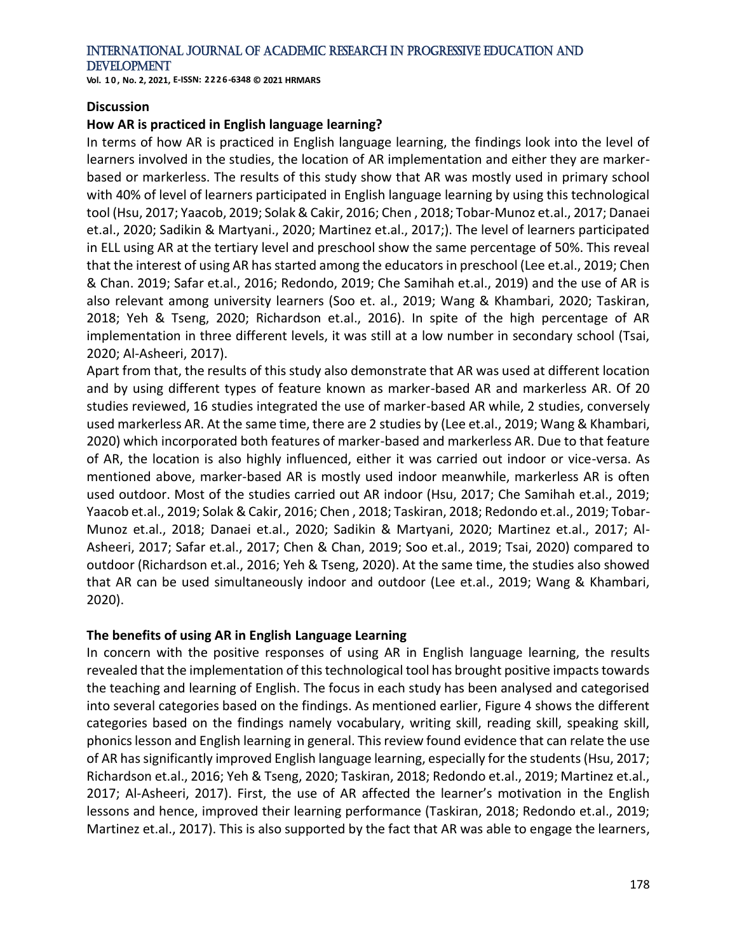**Vol. 1 0 , No. 2, 2021, E-ISSN: 2226-6348 © 2021 HRMARS**

#### **Discussion**

#### **How AR is practiced in English language learning?**

In terms of how AR is practiced in English language learning, the findings look into the level of learners involved in the studies, the location of AR implementation and either they are markerbased or markerless. The results of this study show that AR was mostly used in primary school with 40% of level of learners participated in English language learning by using this technological tool (Hsu, 2017; Yaacob, 2019; Solak & Cakir, 2016; Chen , 2018; Tobar-Munoz et.al., 2017; Danaei et.al., 2020; Sadikin & Martyani., 2020; Martinez et.al., 2017;). The level of learners participated in ELL using AR at the tertiary level and preschool show the same percentage of 50%. This reveal that the interest of using AR has started among the educators in preschool (Lee et.al., 2019; Chen & Chan. 2019; Safar et.al., 2016; Redondo, 2019; Che Samihah et.al., 2019) and the use of AR is also relevant among university learners (Soo et. al., 2019; Wang & Khambari, 2020; Taskiran, 2018; Yeh & Tseng, 2020; Richardson et.al., 2016). In spite of the high percentage of AR implementation in three different levels, it was still at a low number in secondary school (Tsai, 2020; Al-Asheeri, 2017).

Apart from that, the results of this study also demonstrate that AR was used at different location and by using different types of feature known as marker-based AR and markerless AR. Of 20 studies reviewed, 16 studies integrated the use of marker-based AR while, 2 studies, conversely used markerless AR. At the same time, there are 2 studies by (Lee et.al., 2019; Wang & Khambari, 2020) which incorporated both features of marker-based and markerless AR. Due to that feature of AR, the location is also highly influenced, either it was carried out indoor or vice-versa. As mentioned above, marker-based AR is mostly used indoor meanwhile, markerless AR is often used outdoor. Most of the studies carried out AR indoor (Hsu, 2017; Che Samihah et.al., 2019; Yaacob et.al., 2019; Solak & Cakir, 2016; Chen , 2018; Taskiran, 2018; Redondo et.al., 2019; Tobar-Munoz et.al., 2018; Danaei et.al., 2020; Sadikin & Martyani, 2020; Martinez et.al., 2017; Al-Asheeri, 2017; Safar et.al., 2017; Chen & Chan, 2019; Soo et.al., 2019; Tsai, 2020) compared to outdoor (Richardson et.al., 2016; Yeh & Tseng, 2020). At the same time, the studies also showed that AR can be used simultaneously indoor and outdoor (Lee et.al., 2019; Wang & Khambari, 2020).

#### **The benefits of using AR in English Language Learning**

In concern with the positive responses of using AR in English language learning, the results revealed that the implementation of this technological tool has brought positive impacts towards the teaching and learning of English. The focus in each study has been analysed and categorised into several categories based on the findings. As mentioned earlier, Figure 4 shows the different categories based on the findings namely vocabulary, writing skill, reading skill, speaking skill, phonics lesson and English learning in general. This review found evidence that can relate the use of AR has significantly improved English language learning, especially for the students (Hsu, 2017; Richardson et.al., 2016; Yeh & Tseng, 2020; Taskiran, 2018; Redondo et.al., 2019; Martinez et.al., 2017; Al-Asheeri, 2017). First, the use of AR affected the learner's motivation in the English lessons and hence, improved their learning performance (Taskiran, 2018; Redondo et.al., 2019; Martinez et.al., 2017). This is also supported by the fact that AR was able to engage the learners,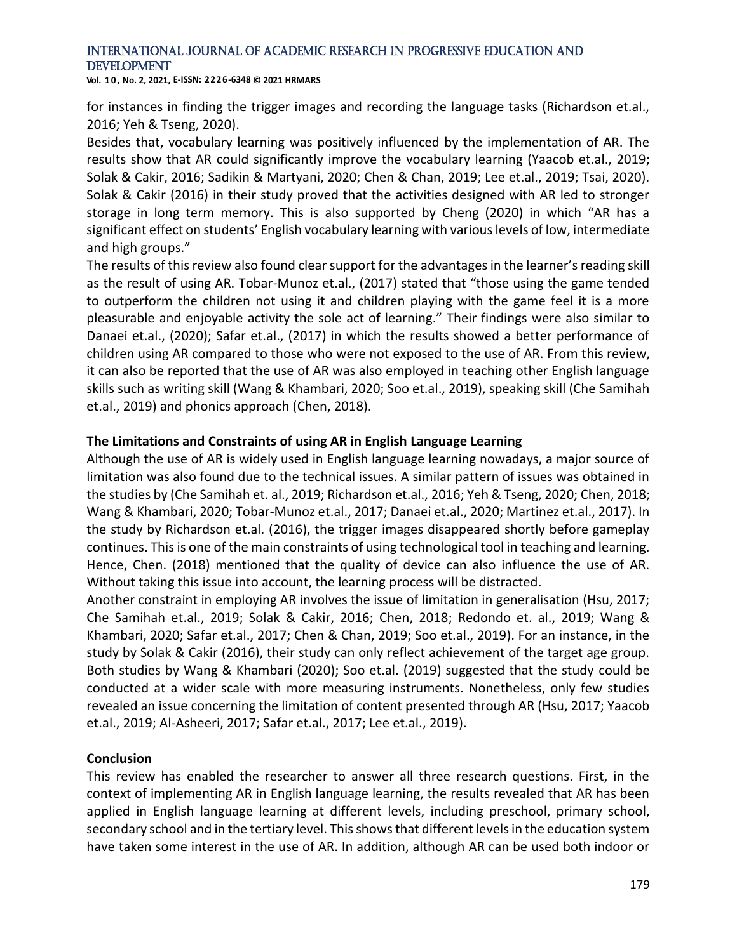**Vol. 1 0 , No. 2, 2021, E-ISSN: 2226-6348 © 2021 HRMARS**

for instances in finding the trigger images and recording the language tasks (Richardson et.al., 2016; Yeh & Tseng, 2020).

Besides that, vocabulary learning was positively influenced by the implementation of AR. The results show that AR could significantly improve the vocabulary learning (Yaacob et.al., 2019; Solak & Cakir, 2016; Sadikin & Martyani, 2020; Chen & Chan, 2019; Lee et.al., 2019; Tsai, 2020). Solak & Cakir (2016) in their study proved that the activities designed with AR led to stronger storage in long term memory. This is also supported by Cheng (2020) in which "AR has a significant effect on students' English vocabulary learning with various levels of low, intermediate and high groups."

The results of this review also found clear support for the advantages in the learner's reading skill as the result of using AR. Tobar-Munoz et.al., (2017) stated that "those using the game tended to outperform the children not using it and children playing with the game feel it is a more pleasurable and enjoyable activity the sole act of learning." Their findings were also similar to Danaei et.al., (2020); Safar et.al., (2017) in which the results showed a better performance of children using AR compared to those who were not exposed to the use of AR. From this review, it can also be reported that the use of AR was also employed in teaching other English language skills such as writing skill (Wang & Khambari, 2020; Soo et.al., 2019), speaking skill (Che Samihah et.al., 2019) and phonics approach (Chen, 2018).

#### **The Limitations and Constraints of using AR in English Language Learning**

Although the use of AR is widely used in English language learning nowadays, a major source of limitation was also found due to the technical issues. A similar pattern of issues was obtained in the studies by (Che Samihah et. al., 2019; Richardson et.al., 2016; Yeh & Tseng, 2020; Chen, 2018; Wang & Khambari, 2020; Tobar-Munoz et.al., 2017; Danaei et.al., 2020; Martinez et.al., 2017). In the study by Richardson et.al. (2016), the trigger images disappeared shortly before gameplay continues. This is one of the main constraints of using technological tool in teaching and learning. Hence, Chen. (2018) mentioned that the quality of device can also influence the use of AR. Without taking this issue into account, the learning process will be distracted.

Another constraint in employing AR involves the issue of limitation in generalisation (Hsu, 2017; Che Samihah et.al., 2019; Solak & Cakir, 2016; Chen, 2018; Redondo et. al., 2019; Wang & Khambari, 2020; Safar et.al., 2017; Chen & Chan, 2019; Soo et.al., 2019). For an instance, in the study by Solak & Cakir (2016), their study can only reflect achievement of the target age group. Both studies by Wang & Khambari (2020); Soo et.al. (2019) suggested that the study could be conducted at a wider scale with more measuring instruments. Nonetheless, only few studies revealed an issue concerning the limitation of content presented through AR (Hsu, 2017; Yaacob et.al., 2019; Al-Asheeri, 2017; Safar et.al., 2017; Lee et.al., 2019).

#### **Conclusion**

This review has enabled the researcher to answer all three research questions. First, in the context of implementing AR in English language learning, the results revealed that AR has been applied in English language learning at different levels, including preschool, primary school, secondary school and in the tertiary level. This shows that different levels in the education system have taken some interest in the use of AR. In addition, although AR can be used both indoor or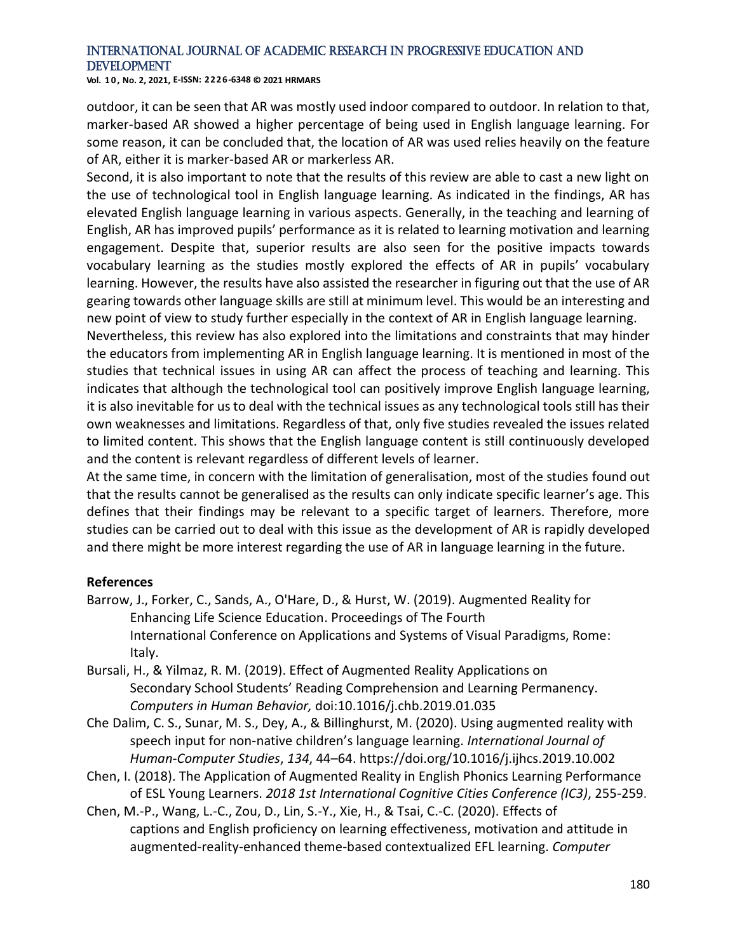**Vol. 1 0 , No. 2, 2021, E-ISSN: 2226-6348 © 2021 HRMARS**

outdoor, it can be seen that AR was mostly used indoor compared to outdoor. In relation to that, marker-based AR showed a higher percentage of being used in English language learning. For some reason, it can be concluded that, the location of AR was used relies heavily on the feature of AR, either it is marker-based AR or markerless AR.

Second, it is also important to note that the results of this review are able to cast a new light on the use of technological tool in English language learning. As indicated in the findings, AR has elevated English language learning in various aspects. Generally, in the teaching and learning of English, AR has improved pupils' performance as it is related to learning motivation and learning engagement. Despite that, superior results are also seen for the positive impacts towards vocabulary learning as the studies mostly explored the effects of AR in pupils' vocabulary learning. However, the results have also assisted the researcher in figuring out that the use of AR gearing towards other language skills are still at minimum level. This would be an interesting and new point of view to study further especially in the context of AR in English language learning.

Nevertheless, this review has also explored into the limitations and constraints that may hinder the educators from implementing AR in English language learning. It is mentioned in most of the studies that technical issues in using AR can affect the process of teaching and learning. This indicates that although the technological tool can positively improve English language learning, it is also inevitable for us to deal with the technical issues as any technological tools still has their own weaknesses and limitations. Regardless of that, only five studies revealed the issues related to limited content. This shows that the English language content is still continuously developed and the content is relevant regardless of different levels of learner.

At the same time, in concern with the limitation of generalisation, most of the studies found out that the results cannot be generalised as the results can only indicate specific learner's age. This defines that their findings may be relevant to a specific target of learners. Therefore, more studies can be carried out to deal with this issue as the development of AR is rapidly developed and there might be more interest regarding the use of AR in language learning in the future.

#### **References**

- Barrow, J., Forker, C., Sands, A., O'Hare, D., & Hurst, W. (2019). Augmented Reality for Enhancing Life Science Education. Proceedings of The Fourth International Conference on Applications and Systems of Visual Paradigms, Rome: Italy.
- Bursali, H., & Yilmaz, R. M. (2019). Effect of Augmented Reality Applications on Secondary School Students' Reading Comprehension and Learning Permanency. *Computers in Human Behavior,* doi:10.1016/j.chb.2019.01.035
- Che Dalim, C. S., Sunar, M. S., Dey, A., & Billinghurst, M. (2020). Using augmented reality with speech input for non-native children's language learning. *International Journal of Human-Computer Studies*, *134*, 44–64. https://doi.org/10.1016/j.ijhcs.2019.10.002
- Chen, I. (2018). The Application of Augmented Reality in English Phonics Learning Performance of ESL Young Learners. *2018 1st International Cognitive Cities Conference (IC3)*, 255-259.
- Chen, M.-P., Wang, L.-C., Zou, D., Lin, S.-Y., Xie, H., & Tsai, C.-C. (2020). Effects of captions and English proficiency on learning effectiveness, motivation and attitude in augmented-reality-enhanced theme-based contextualized EFL learning. *Computer*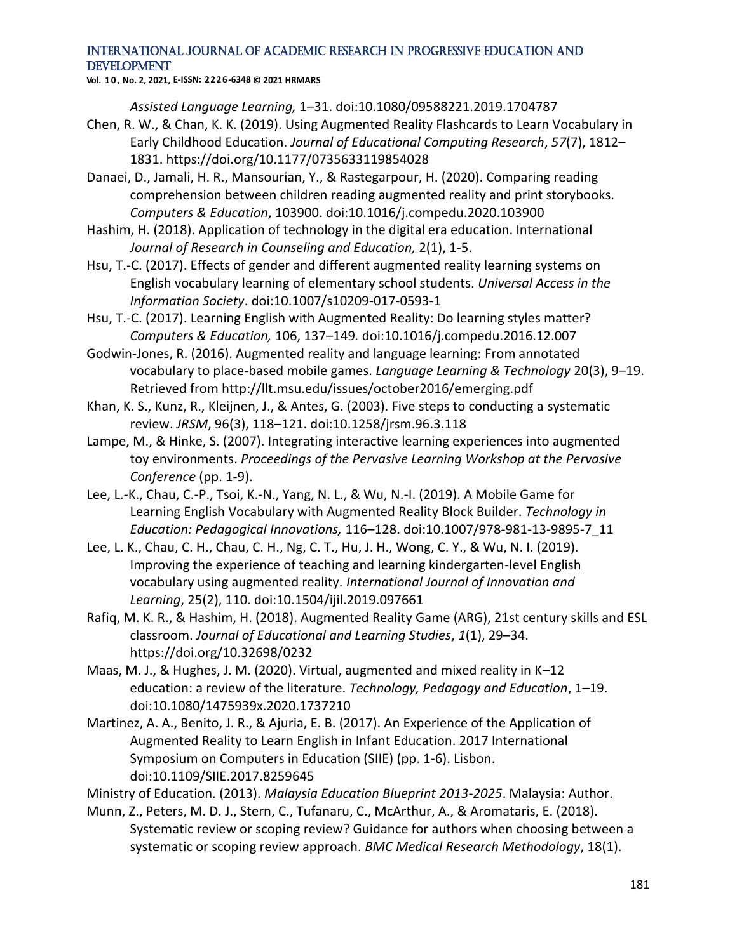**Vol. 1 0 , No. 2, 2021, E-ISSN: 2226-6348 © 2021 HRMARS**

*Assisted Language Learning,* 1–31. doi:10.1080/09588221.2019.1704787

- Chen, R. W., & Chan, K. K. (2019). Using Augmented Reality Flashcards to Learn Vocabulary in Early Childhood Education. *Journal of Educational Computing Research*, *57*(7), 1812– 1831. https://doi.org/10.1177/0735633119854028
- Danaei, D., Jamali, H. R., Mansourian, Y., & Rastegarpour, H. (2020). Comparing reading comprehension between children reading augmented reality and print storybooks. *Computers & Education*, 103900. doi:10.1016/j.compedu.2020.103900
- Hashim, H. (2018). Application of technology in the digital era education. International *Journal of Research in Counseling and Education,* 2(1), 1-5.
- Hsu, T.-C. (2017). Effects of gender and different augmented reality learning systems on English vocabulary learning of elementary school students. *Universal Access in the Information Society*. doi:10.1007/s10209-017-0593-1
- Hsu, T.-C. (2017). Learning English with Augmented Reality: Do learning styles matter? *Computers & Education,* 106, 137–149*.* doi:10.1016/j.compedu.2016.12.007
- Godwin-Jones, R. (2016). Augmented reality and language learning: From annotated vocabulary to place-based mobile games. *Language Learning & Technology* 20(3), 9–19. Retrieved from http://llt.msu.edu/issues/october2016/emerging.pdf
- Khan, K. S., Kunz, R., Kleijnen, J., & Antes, G. (2003). Five steps to conducting a systematic review. *JRSM*, 96(3), 118–121. doi:10.1258/jrsm.96.3.118
- Lampe, M., & Hinke, S. (2007). Integrating interactive learning experiences into augmented toy environments. *Proceedings of the Pervasive Learning Workshop at the Pervasive Conference* (pp. 1-9).
- Lee, L.-K., Chau, C.-P., Tsoi, K.-N., Yang, N. L., & Wu, N.-I. (2019). A Mobile Game for Learning English Vocabulary with Augmented Reality Block Builder. *Technology in Education: Pedagogical Innovations,* 116–128. doi:10.1007/978-981-13-9895-7\_11
- Lee, L. K., Chau, C. H., Chau, C. H., Ng, C. T., Hu, J. H., Wong, C. Y., & Wu, N. I. (2019). Improving the experience of teaching and learning kindergarten-level English vocabulary using augmented reality. *International Journal of Innovation and Learning*, 25(2), 110. doi:10.1504/ijil.2019.097661
- Rafiq, M. K. R., & Hashim, H. (2018). Augmented Reality Game (ARG), 21st century skills and ESL classroom. *Journal of Educational and Learning Studies*, *1*(1), 29–34. https://doi.org/10.32698/0232
- Maas, M. J., & Hughes, J. M. (2020). Virtual, augmented and mixed reality in K–12 education: a review of the literature. *Technology, Pedagogy and Education*, 1–19. doi:10.1080/1475939x.2020.1737210
- Martinez, A. A., Benito, J. R., & Ajuria, E. B. (2017). An Experience of the Application of Augmented Reality to Learn English in Infant Education. 2017 International Symposium on Computers in Education (SIIE) (pp. 1-6). Lisbon. doi:10.1109/SIIE.2017.8259645

Ministry of Education. (2013). *Malaysia Education Blueprint 2013-2025*. Malaysia: Author.

Munn, Z., Peters, M. D. J., Stern, C., Tufanaru, C., McArthur, A., & Aromataris, E. (2018). Systematic review or scoping review? Guidance for authors when choosing between a systematic or scoping review approach. *BMC Medical Research Methodology*, 18(1).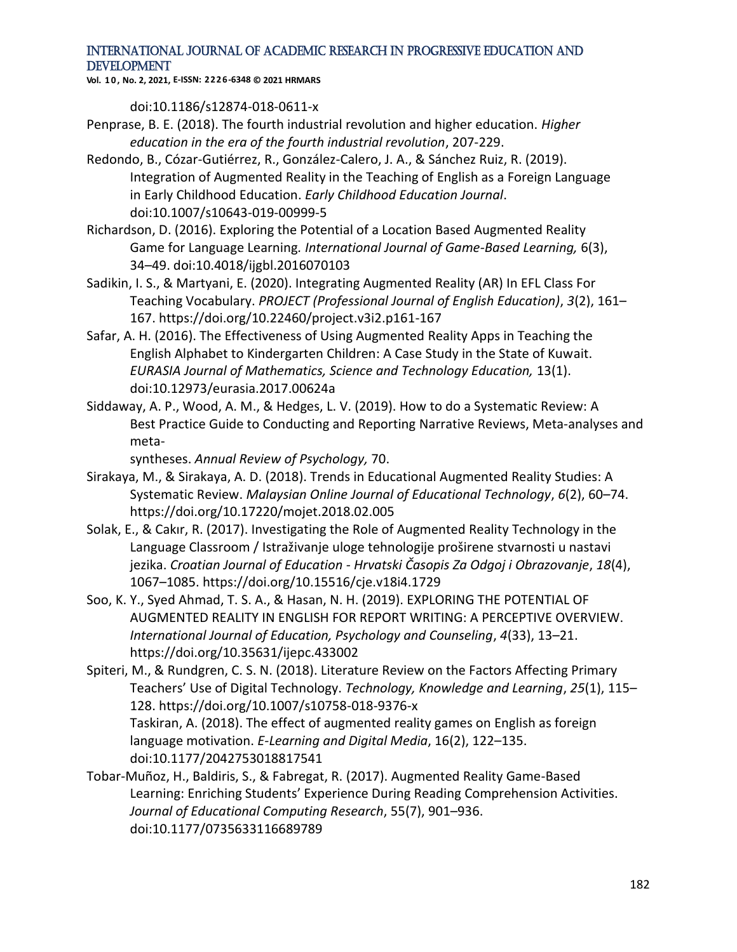**Vol. 1 0 , No. 2, 2021, E-ISSN: 2226-6348 © 2021 HRMARS**

doi:10.1186/s12874-018-0611-x

- Penprase, B. E. (2018). The fourth industrial revolution and higher education. *Higher education in the era of the fourth industrial revolution*, 207-229.
- Redondo, B., Cózar-Gutiérrez, R., González-Calero, J. A., & Sánchez Ruiz, R. (2019). Integration of Augmented Reality in the Teaching of English as a Foreign Language in Early Childhood Education. *Early Childhood Education Journal*. doi:10.1007/s10643-019-00999-5
- Richardson, D. (2016). Exploring the Potential of a Location Based Augmented Reality Game for Language Learning*. International Journal of Game-Based Learning,* 6(3), 34–49. doi:10.4018/ijgbl.2016070103
- Sadikin, I. S., & Martyani, E. (2020). Integrating Augmented Reality (AR) In EFL Class For Teaching Vocabulary. *PROJECT (Professional Journal of English Education)*, *3*(2), 161– 167. https://doi.org/10.22460/project.v3i2.p161-167
- Safar, A. H. (2016). The Effectiveness of Using Augmented Reality Apps in Teaching the English Alphabet to Kindergarten Children: A Case Study in the State of Kuwait. *EURASIA Journal of Mathematics, Science and Technology Education,* 13(1). doi:10.12973/eurasia.2017.00624a
- Siddaway, A. P., Wood, A. M., & Hedges, L. V. (2019). How to do a Systematic Review: A Best Practice Guide to Conducting and Reporting Narrative Reviews, Meta-analyses and meta-

syntheses. *Annual Review of Psychology,* 70.

- Sirakaya, M., & Sirakaya, A. D. (2018). Trends in Educational Augmented Reality Studies: A Systematic Review. *Malaysian Online Journal of Educational Technology*, *6*(2), 60–74. https://doi.org/10.17220/mojet.2018.02.005
- Solak, E., & Cakır, R. (2017). Investigating the Role of Augmented Reality Technology in the Language Classroom / Istraživanje uloge tehnologije proširene stvarnosti u nastavi jezika. *Croatian Journal of Education - Hrvatski Časopis Za Odgoj i Obrazovanje*, *18*(4), 1067–1085. https://doi.org/10.15516/cje.v18i4.1729
- Soo, K. Y., Syed Ahmad, T. S. A., & Hasan, N. H. (2019). EXPLORING THE POTENTIAL OF AUGMENTED REALITY IN ENGLISH FOR REPORT WRITING: A PERCEPTIVE OVERVIEW. *International Journal of Education, Psychology and Counseling*, *4*(33), 13–21. https://doi.org/10.35631/ijepc.433002
- Spiteri, M., & Rundgren, C. S. N. (2018). Literature Review on the Factors Affecting Primary Teachers' Use of Digital Technology. *Technology, Knowledge and Learning*, *25*(1), 115– 128. https://doi.org/10.1007/s10758-018-9376-x Taskiran, A. (2018). The effect of augmented reality games on English as foreign language motivation. *E-Learning and Digital Media*, 16(2), 122–135. doi:10.1177/2042753018817541
- Tobar-Muñoz, H., Baldiris, S., & Fabregat, R. (2017). Augmented Reality Game-Based Learning: Enriching Students' Experience During Reading Comprehension Activities. *Journal of Educational Computing Research*, 55(7), 901–936. doi:10.1177/0735633116689789